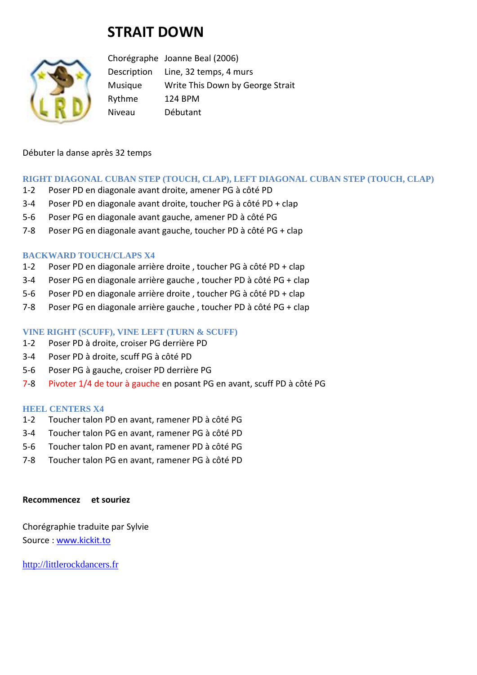# **STRAIT DOWN**



Chorégraphe Joanne Beal (2006) Description Line, 32 temps, 4 murs Musique Write This Down by George Strait Rythme 124 BPM Niveau Débutant

### Débuter la danse après 32 temps

# **RIGHT DIAGONAL CUBAN STEP (TOUCH, CLAP), LEFT DIAGONAL CUBAN STEP (TOUCH, CLAP)**

- 1-2 Poser PD en diagonale avant droite, amener PG à côté PD
- 3-4 Poser PD en diagonale avant droite, toucher PG à côté PD + clap
- 5-6 Poser PG en diagonale avant gauche, amener PD à côté PG
- 7-8 Poser PG en diagonale avant gauche, toucher PD à côté PG + clap

#### **BACKWARD TOUCH/CLAPS X4**

- 1-2 Poser PD en diagonale arrière droite , toucher PG à côté PD + clap
- 3-4 Poser PG en diagonale arrière gauche , toucher PD à côté PG + clap
- 5-6 Poser PD en diagonale arrière droite , toucher PG à côté PD + clap
- 7-8 Poser PG en diagonale arrière gauche , toucher PD à côté PG + clap

# **VINE RIGHT (SCUFF), VINE LEFT (TURN & SCUFF)**

- 1-2 Poser PD à droite, croiser PG derrière PD
- 3-4 Poser PD à droite, scuff PG à côté PD
- 5-6 Poser PG à gauche, croiser PD derrière PG
- 7-8 Pivoter 1/4 de tour à gauche en posant PG en avant, scuff PD à côté PG

#### **HEEL CENTERS X4**

- 1-2 Toucher talon PD en avant, ramener PD à côté PG
- 3-4 Toucher talon PG en avant, ramener PG à côté PD
- 5-6 Toucher talon PD en avant, ramener PD à côté PG
- 7-8 Toucher talon PG en avant, ramener PG à côté PD

#### **Recommencez et souriez**

Chorégraphie traduite par Sylvie Source : [www.kickit.to](http://www.kickit.to/)

[http://littlerockdancers.fr](http://littlerockdancers.fr/)